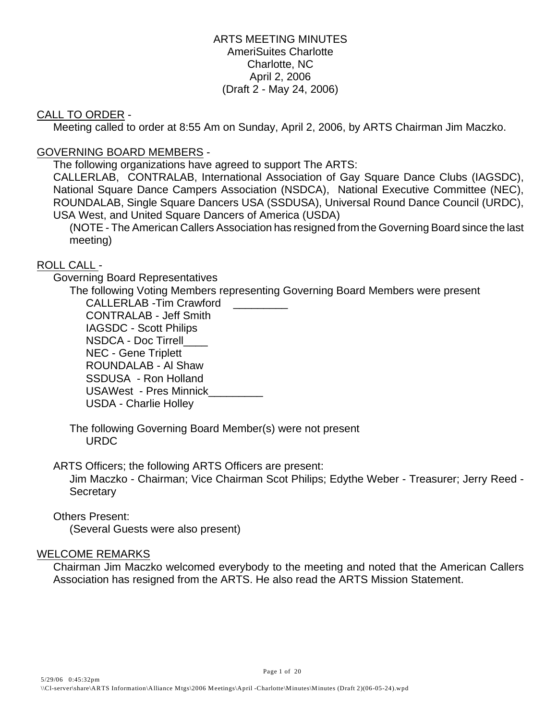## ARTS MEETING MINUTES AmeriSuites Charlotte Charlotte, NC April 2, 2006 (Draft 2 - May 24, 2006)

## CALL TO ORDER -

Meeting called to order at 8:55 Am on Sunday, April 2, 2006, by ARTS Chairman Jim Maczko.

## GOVERNING BOARD MEMBERS -

The following organizations have agreed to support The ARTS:

CALLERLAB, CONTRALAB, International Association of Gay Square Dance Clubs (IAGSDC), National Square Dance Campers Association (NSDCA), National Executive Committee (NEC), ROUNDALAB, Single Square Dancers USA (SSDUSA), Universal Round Dance Council (URDC), USA West, and United Square Dancers of America (USDA)

(NOTE - The American Callers Association has resigned from the Governing Board since the last meeting)

## ROLL CALL -

Governing Board Representatives

The following Voting Members representing Governing Board Members were present CALLERLAB -Tim Crawford \_\_\_\_\_\_\_\_\_ CONTRALAB - Jeff Smith IAGSDC - Scott Philips NSDCA - Doc Tirrell\_\_\_\_ NEC - Gene Triplett ROUNDALAB - Al Shaw SSDUSA - Ron Holland USAWest - Pres Minnick\_\_\_\_\_\_\_\_\_ USDA - Charlie Holley

The following Governing Board Member(s) were not present URDC

ARTS Officers; the following ARTS Officers are present:

Jim Maczko - Chairman; Vice Chairman Scot Philips; Edythe Weber - Treasurer; Jerry Reed - **Secretary** 

## Others Present:

(Several Guests were also present)

## WELCOME REMARKS

Chairman Jim Maczko welcomed everybody to the meeting and noted that the American Callers Association has resigned from the ARTS. He also read the ARTS Mission Statement.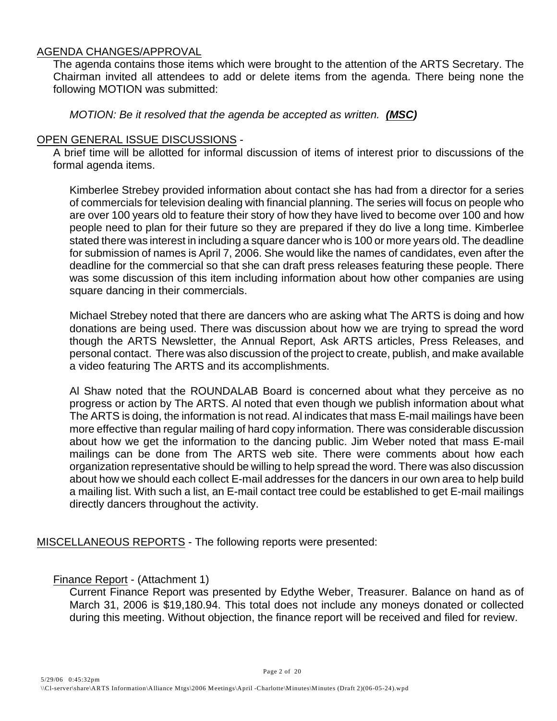## AGENDA CHANGES/APPROVAL

The agenda contains those items which were brought to the attention of the ARTS Secretary. The Chairman invited all attendees to add or delete items from the agenda. There being none the following MOTION was submitted:

*MOTION: Be it resolved that the agenda be accepted as written. (MSC)* 

## OPEN GENERAL ISSUE DISCUSSIONS -

A brief time will be allotted for informal discussion of items of interest prior to discussions of the formal agenda items.

Kimberlee Strebey provided information about contact she has had from a director for a series of commercials for television dealing with financial planning. The series will focus on people who are over 100 years old to feature their story of how they have lived to become over 100 and how people need to plan for their future so they are prepared if they do live a long time. Kimberlee stated there was interest in including a square dancer who is 100 or more years old. The deadline for submission of names is April 7, 2006. She would like the names of candidates, even after the deadline for the commercial so that she can draft press releases featuring these people. There was some discussion of this item including information about how other companies are using square dancing in their commercials.

Michael Strebey noted that there are dancers who are asking what The ARTS is doing and how donations are being used. There was discussion about how we are trying to spread the word though the ARTS Newsletter, the Annual Report, Ask ARTS articles, Press Releases, and personal contact. There was also discussion of the project to create, publish, and make available a video featuring The ARTS and its accomplishments.

Al Shaw noted that the ROUNDALAB Board is concerned about what they perceive as no progress or action by The ARTS. Al noted that even though we publish information about what The ARTS is doing, the information is not read. Al indicates that mass E-mail mailings have been more effective than regular mailing of hard copy information. There was considerable discussion about how we get the information to the dancing public. Jim Weber noted that mass E-mail mailings can be done from The ARTS web site. There were comments about how each organization representative should be willing to help spread the word. There was also discussion about how we should each collect E-mail addresses for the dancers in our own area to help build a mailing list. With such a list, an E-mail contact tree could be established to get E-mail mailings directly dancers throughout the activity.

MISCELLANEOUS REPORTS - The following reports were presented:

## Finance Report - (Attachment 1)

Current Finance Report was presented by Edythe Weber, Treasurer. Balance on hand as of March 31, 2006 is \$19,180.94. This total does not include any moneys donated or collected during this meeting. Without objection, the finance report will be received and filed for review.

Page 2 of 20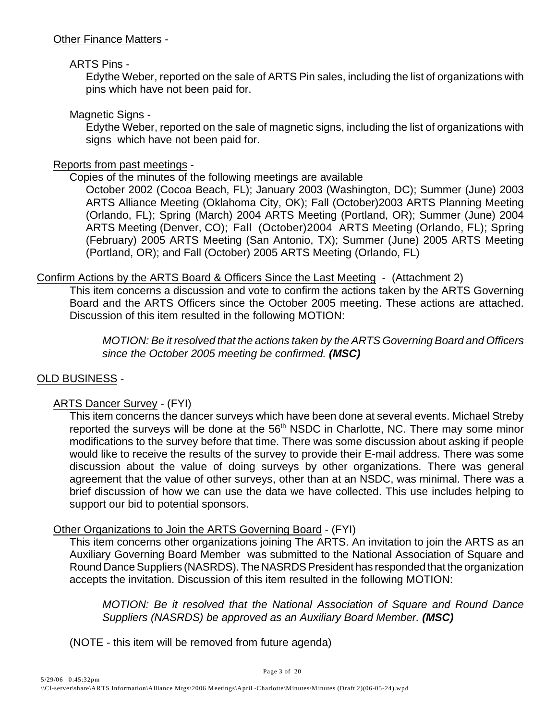## ARTS Pins -

Edythe Weber, reported on the sale of ARTS Pin sales, including the list of organizations with pins which have not been paid for.

## Magnetic Signs -

Edythe Weber, reported on the sale of magnetic signs, including the list of organizations with signs which have not been paid for.

## Reports from past meetings -

Copies of the minutes of the following meetings are available

October 2002 (Cocoa Beach, FL); January 2003 (Washington, DC); Summer (June) 2003 ARTS Alliance Meeting (Oklahoma City, OK); Fall (October)2003 ARTS Planning Meeting (Orlando, FL); Spring (March) 2004 ARTS Meeting (Portland, OR); Summer (June) 2004 ARTS Meeting (Denver, CO); Fall (October)2004 ARTS Meeting (Orlando, FL); Spring (February) 2005 ARTS Meeting (San Antonio, TX); Summer (June) 2005 ARTS Meeting (Portland, OR); and Fall (October) 2005 ARTS Meeting (Orlando, FL)

## Confirm Actions by the ARTS Board & Officers Since the Last Meeting - (Attachment 2)

This item concerns a discussion and vote to confirm the actions taken by the ARTS Governing Board and the ARTS Officers since the October 2005 meeting. These actions are attached. Discussion of this item resulted in the following MOTION:

*MOTION: Be it resolved that the actions taken by the ARTS Governing Board and Officers since the October 2005 meeting be confirmed. (MSC)*

## OLD BUSINESS -

## ARTS Dancer Survey - (FYI)

This item concerns the dancer surveys which have been done at several events. Michael Streby reported the surveys will be done at the 56<sup>th</sup> NSDC in Charlotte, NC. There may some minor modifications to the survey before that time. There was some discussion about asking if people would like to receive the results of the survey to provide their E-mail address. There was some discussion about the value of doing surveys by other organizations. There was general agreement that the value of other surveys, other than at an NSDC, was minimal. There was a brief discussion of how we can use the data we have collected. This use includes helping to support our bid to potential sponsors.

## Other Organizations to Join the ARTS Governing Board - (FYI)

This item concerns other organizations joining The ARTS. An invitation to join the ARTS as an Auxiliary Governing Board Member was submitted to the National Association of Square and Round Dance Suppliers (NASRDS). The NASRDS President has responded that the organization accepts the invitation. Discussion of this item resulted in the following MOTION:

*MOTION: Be it resolved that the National Association of Square and Round Dance Suppliers (NASRDS) be approved as an Auxiliary Board Member. (MSC)*

(NOTE - this item will be removed from future agenda)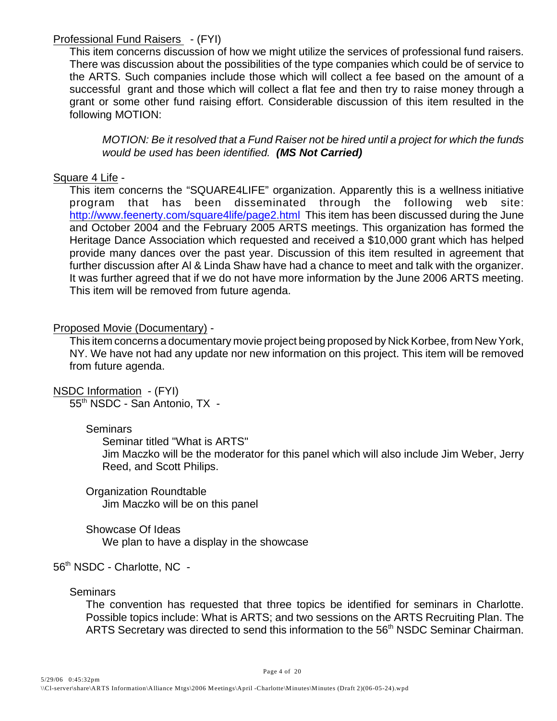## Professional Fund Raisers - (FYI)

This item concerns discussion of how we might utilize the services of professional fund raisers. There was discussion about the possibilities of the type companies which could be of service to the ARTS. Such companies include those which will collect a fee based on the amount of a successful grant and those which will collect a flat fee and then try to raise money through a grant or some other fund raising effort. Considerable discussion of this item resulted in the following MOTION:

*MOTION: Be it resolved that a Fund Raiser not be hired until a project for which the funds would be used has been identified. (MS Not Carried)*

## Square 4 Life -

 This item concerns the "SQUARE4LIFE" organization. Apparently this is a wellness initiative program that has been disseminated through the following web site: [http://www.feenerty.com/square4life/page2.html](http://www.feenerty.com/square4life/page2.html.) This item has been discussed during the June and October 2004 and the February 2005 ARTS meetings. This organization has formed the Heritage Dance Association which requested and received a \$10,000 grant which has helped provide many dances over the past year. Discussion of this item resulted in agreement that further discussion after Al & Linda Shaw have had a chance to meet and talk with the organizer. It was further agreed that if we do not have more information by the June 2006 ARTS meeting. This item will be removed from future agenda.

## Proposed Movie (Documentary) -

This item concerns a documentary movie project being proposed by Nick Korbee, from New York, NY. We have not had any update nor new information on this project. This item will be removed from future agenda.

NSDC Information - (FYI)

55<sup>th</sup> NSDC - San Antonio, TX -

## **Seminars**

Seminar titled "What is ARTS"

Jim Maczko will be the moderator for this panel which will also include Jim Weber, Jerry Reed, and Scott Philips.

Organization Roundtable Jim Maczko will be on this panel

Showcase Of Ideas We plan to have a display in the showcase

56<sup>th</sup> NSDC - Charlotte, NC -

## **Seminars**

The convention has requested that three topics be identified for seminars in Charlotte. Possible topics include: What is ARTS; and two sessions on the ARTS Recruiting Plan. The ARTS Secretary was directed to send this information to the 56<sup>th</sup> NSDC Seminar Chairman.

Page 4 of 20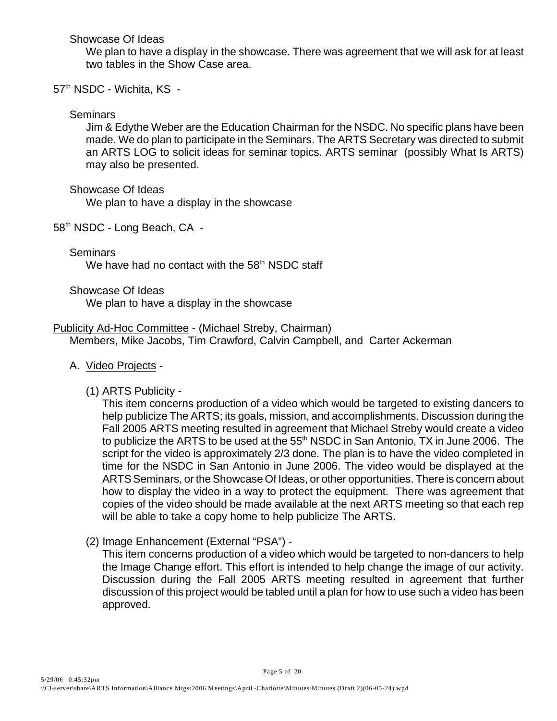Showcase Of Ideas

We plan to have a display in the showcase. There was agreement that we will ask for at least two tables in the Show Case area.

57<sup>th</sup> NSDC - Wichita, KS -

## **Seminars**

Jim & Edythe Weber are the Education Chairman for the NSDC. No specific plans have been made. We do plan to participate in the Seminars. The ARTS Secretary was directed to submit an ARTS LOG to solicit ideas for seminar topics. ARTS seminar (possibly What Is ARTS) may also be presented.

Showcase Of Ideas

We plan to have a display in the showcase

58<sup>th</sup> NSDC - Long Beach, CA -

Seminars

We have had no contact with the  $58<sup>th</sup>$  NSDC staff

Showcase Of Ideas

We plan to have a display in the showcase

## Publicity Ad-Hoc Committee - (Michael Streby, Chairman)

Members, Mike Jacobs, Tim Crawford, Calvin Campbell, and Carter Ackerman

## A. Video Projects -

(1) ARTS Publicity -

This item concerns production of a video which would be targeted to existing dancers to help publicize The ARTS; its goals, mission, and accomplishments. Discussion during the Fall 2005 ARTS meeting resulted in agreement that Michael Streby would create a video to publicize the ARTS to be used at the  $55<sup>th</sup>$  NSDC in San Antonio, TX in June 2006. The script for the video is approximately 2/3 done. The plan is to have the video completed in time for the NSDC in San Antonio in June 2006. The video would be displayed at the ARTS Seminars, or the Showcase Of Ideas, or other opportunities. There is concern about how to display the video in a way to protect the equipment. There was agreement that copies of the video should be made available at the next ARTS meeting so that each rep will be able to take a copy home to help publicize The ARTS.

(2) Image Enhancement (External "PSA") -

This item concerns production of a video which would be targeted to non-dancers to help the Image Change effort. This effort is intended to help change the image of our activity. Discussion during the Fall 2005 ARTS meeting resulted in agreement that further discussion of this project would be tabled until a plan for how to use such a video has been approved.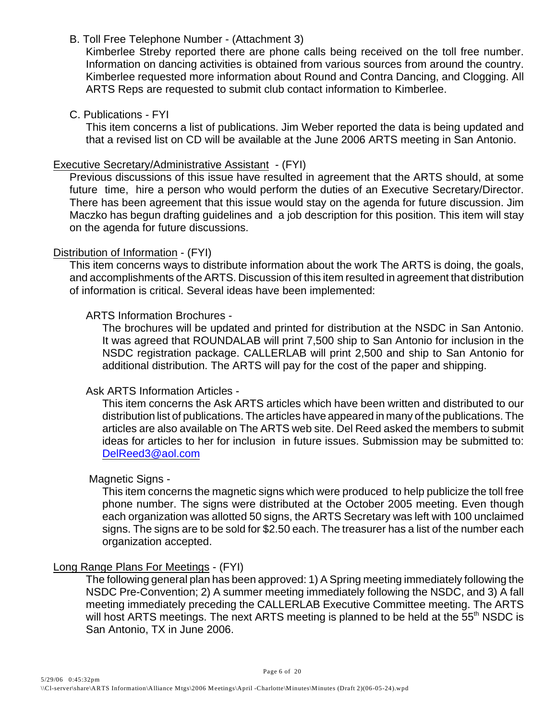B. Toll Free Telephone Number - (Attachment 3)

Kimberlee Streby reported there are phone calls being received on the toll free number. Information on dancing activities is obtained from various sources from around the country. Kimberlee requested more information about Round and Contra Dancing, and Clogging. All ARTS Reps are requested to submit club contact information to Kimberlee.

C. Publications - FYI

This item concerns a list of publications. Jim Weber reported the data is being updated and that a revised list on CD will be available at the June 2006 ARTS meeting in San Antonio.

## Executive Secretary/Administrative Assistant - (FYI)

Previous discussions of this issue have resulted in agreement that the ARTS should, at some future time, hire a person who would perform the duties of an Executive Secretary/Director. There has been agreement that this issue would stay on the agenda for future discussion. Jim Maczko has begun drafting guidelines and a job description for this position. This item will stay on the agenda for future discussions.

## Distribution of Information - (FYI)

This item concerns ways to distribute information about the work The ARTS is doing, the goals, and accomplishments of the ARTS. Discussion of this item resulted in agreement that distribution of information is critical. Several ideas have been implemented:

## ARTS Information Brochures -

The brochures will be updated and printed for distribution at the NSDC in San Antonio. It was agreed that ROUNDALAB will print 7,500 ship to San Antonio for inclusion in the NSDC registration package. CALLERLAB will print 2,500 and ship to San Antonio for additional distribution. The ARTS will pay for the cost of the paper and shipping.

## Ask ARTS Information Articles -

This item concerns the Ask ARTS articles which have been written and distributed to our distribution list of publications. The articles have appeared in many of the publications. The articles are also available on The ARTS web site. Del Reed asked the members to submit ideas for articles to her for inclusion in future issues. Submission may be submitted to: [DelReed3@aol.com](mailto::DelReed3@aol.com)

## Magnetic Signs -

This item concerns the magnetic signs which were produced to help publicize the toll free phone number. The signs were distributed at the October 2005 meeting. Even though each organization was allotted 50 signs, the ARTS Secretary was left with 100 unclaimed signs. The signs are to be sold for \$2.50 each. The treasurer has a list of the number each organization accepted.

## Long Range Plans For Meetings - (FYI)

The following general plan has been approved: 1) A Spring meeting immediately following the NSDC Pre-Convention; 2) A summer meeting immediately following the NSDC, and 3) A fall meeting immediately preceding the CALLERLAB Executive Committee meeting. The ARTS will host ARTS meetings. The next ARTS meeting is planned to be held at the  $55<sup>th</sup>$  NSDC is San Antonio, TX in June 2006.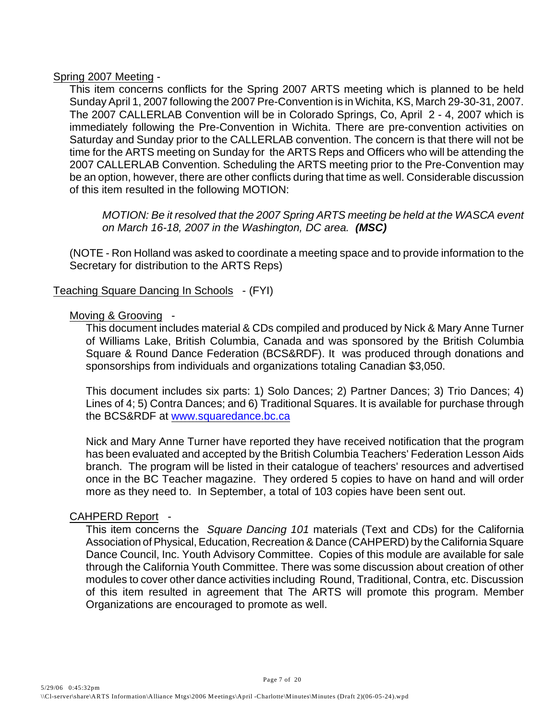Spring 2007 Meeting -

This item concerns conflicts for the Spring 2007 ARTS meeting which is planned to be held Sunday April 1, 2007 following the 2007 Pre-Convention is in Wichita, KS, March 29-30-31, 2007. The 2007 CALLERLAB Convention will be in Colorado Springs, Co, April 2 - 4, 2007 which is immediately following the Pre-Convention in Wichita. There are pre-convention activities on Saturday and Sunday prior to the CALLERLAB convention. The concern is that there will not be time for the ARTS meeting on Sunday for the ARTS Reps and Officers who will be attending the 2007 CALLERLAB Convention. Scheduling the ARTS meeting prior to the Pre-Convention may be an option, however, there are other conflicts during that time as well. Considerable discussion of this item resulted in the following MOTION:

*MOTION: Be it resolved that the 2007 Spring ARTS meeting be held at the WASCA event on March 16-18, 2007 in the Washington, DC area. (MSC)*

(NOTE - Ron Holland was asked to coordinate a meeting space and to provide information to the Secretary for distribution to the ARTS Reps)

## Teaching Square Dancing In Schools - (FYI)

## Moving & Grooving -

This document includes material & CDs compiled and produced by Nick & Mary Anne Turner of Williams Lake, British Columbia, Canada and was sponsored by the British Columbia Square & Round Dance Federation (BCS&RDF). It was produced through donations and sponsorships from individuals and organizations totaling Canadian \$3,050.

This document includes six parts: 1) Solo Dances; 2) Partner Dances; 3) Trio Dances; 4) Lines of 4; 5) Contra Dances; and 6) Traditional Squares. It is available for purchase through the BCS&RDF at [www.squaredance.bc.ca](http://www.squaredance.bc.ca)

Nick and Mary Anne Turner have reported they have received notification that the program has been evaluated and accepted by the British Columbia Teachers' Federation Lesson Aids branch. The program will be listed in their catalogue of teachers' resources and advertised once in the BC Teacher magazine. They ordered 5 copies to have on hand and will order more as they need to. In September, a total of 103 copies have been sent out.

## CAHPERD Report -

This item concerns the *Square Dancing 101* materials (Text and CDs) for the California Association of Physical, Education, Recreation & Dance (CAHPERD) by the California Square Dance Council, Inc. Youth Advisory Committee. Copies of this module are available for sale through the California Youth Committee. There was some discussion about creation of other modules to cover other dance activities including Round, Traditional, Contra, etc. Discussion of this item resulted in agreement that The ARTS will promote this program. Member Organizations are encouraged to promote as well.

Page 7 of 20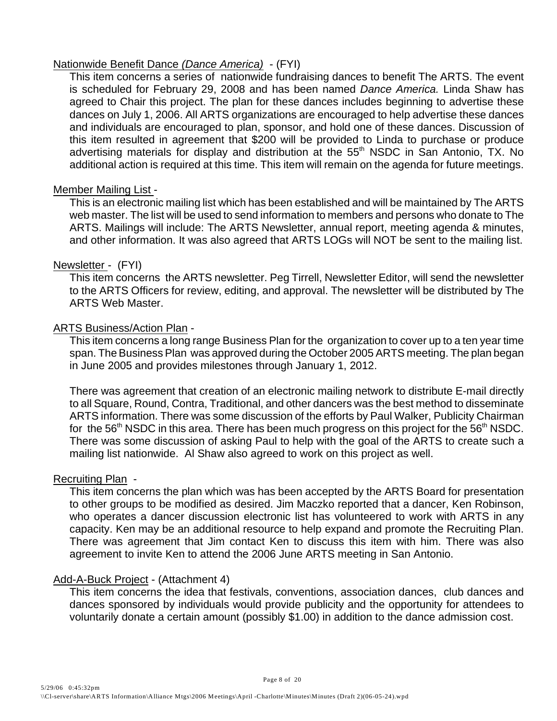## Nationwide Benefit Dance *(Dance America)* - (FYI)

This item concerns a series of nationwide fundraising dances to benefit The ARTS. The event is scheduled for February 29, 2008 and has been named *Dance America.* Linda Shaw has agreed to Chair this project. The plan for these dances includes beginning to advertise these dances on July 1, 2006. All ARTS organizations are encouraged to help advertise these dances and individuals are encouraged to plan, sponsor, and hold one of these dances. Discussion of this item resulted in agreement that \$200 will be provided to Linda to purchase or produce advertising materials for display and distribution at the  $55<sup>th</sup>$  NSDC in San Antonio, TX. No additional action is required at this time. This item will remain on the agenda for future meetings.

## Member Mailing List -

This is an electronic mailing list which has been established and will be maintained by The ARTS web master. The list will be used to send information to members and persons who donate to The ARTS. Mailings will include: The ARTS Newsletter, annual report, meeting agenda & minutes, and other information. It was also agreed that ARTS LOGs will NOT be sent to the mailing list.

## Newsletter - (FYI)

This item concerns the ARTS newsletter. Peg Tirrell, Newsletter Editor, will send the newsletter to the ARTS Officers for review, editing, and approval. The newsletter will be distributed by The ARTS Web Master.

## ARTS Business/Action Plan -

This item concerns a long range Business Plan for the organization to cover up to a ten year time span. The Business Plan was approved during the October 2005 ARTS meeting. The plan began in June 2005 and provides milestones through January 1, 2012.

There was agreement that creation of an electronic mailing network to distribute E-mail directly to all Square, Round, Contra, Traditional, and other dancers was the best method to disseminate ARTS information. There was some discussion of the efforts by Paul Walker, Publicity Chairman for the 56<sup>th</sup> NSDC in this area. There has been much progress on this project for the 56<sup>th</sup> NSDC. There was some discussion of asking Paul to help with the goal of the ARTS to create such a mailing list nationwide. Al Shaw also agreed to work on this project as well.

## Recruiting Plan -

This item concerns the plan which was has been accepted by the ARTS Board for presentation to other groups to be modified as desired. Jim Maczko reported that a dancer, Ken Robinson, who operates a dancer discussion electronic list has volunteered to work with ARTS in any capacity. Ken may be an additional resource to help expand and promote the Recruiting Plan. There was agreement that Jim contact Ken to discuss this item with him. There was also agreement to invite Ken to attend the 2006 June ARTS meeting in San Antonio.

## Add-A-Buck Project - (Attachment 4)

This item concerns the idea that festivals, conventions, association dances, club dances and dances sponsored by individuals would provide publicity and the opportunity for attendees to voluntarily donate a certain amount (possibly \$1.00) in addition to the dance admission cost.

Page 8 of 20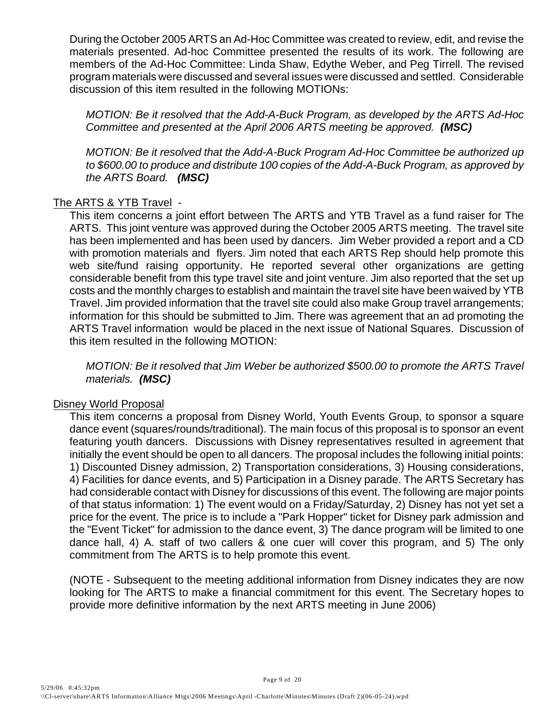During the October 2005 ARTS an Ad-Hoc Committee was created to review, edit, and revise the materials presented. Ad-hoc Committee presented the results of its work. The following are members of the Ad-Hoc Committee: Linda Shaw, Edythe Weber, and Peg Tirrell. The revised program materials were discussed and several issues were discussed and settled. Considerable discussion of this item resulted in the following MOTIONs:

*MOTION: Be it resolved that the Add-A-Buck Program, as developed by the ARTS Ad-Hoc Committee and presented at the April 2006 ARTS meeting be approved. (MSC)*

*MOTION: Be it resolved that the Add-A-Buck Program Ad-Hoc Committee be authorized up to \$600.00 to produce and distribute 100 copies of the Add-A-Buck Program, as approved by the ARTS Board. (MSC)*

## The ARTS & YTB Travel -

This item concerns a joint effort between The ARTS and YTB Travel as a fund raiser for The ARTS. This joint venture was approved during the October 2005 ARTS meeting. The travel site has been implemented and has been used by dancers. Jim Weber provided a report and a CD with promotion materials and flyers. Jim noted that each ARTS Rep should help promote this web site/fund raising opportunity. He reported several other organizations are getting considerable benefit from this type travel site and joint venture. Jim also reported that the set up costs and the monthly charges to establish and maintain the travel site have been waived by YTB Travel. Jim provided information that the travel site could also make Group travel arrangements; information for this should be submitted to Jim. There was agreement that an ad promoting the ARTS Travel information would be placed in the next issue of National Squares. Discussion of this item resulted in the following MOTION:

*MOTION: Be it resolved that Jim Weber be authorized \$500.00 to promote the ARTS Travel materials. (MSC)*

## Disney World Proposal

This item concerns a proposal from Disney World, Youth Events Group, to sponsor a square dance event (squares/rounds/traditional). The main focus of this proposal is to sponsor an event featuring youth dancers. Discussions with Disney representatives resulted in agreement that initially the event should be open to all dancers. The proposal includes the following initial points: 1) Discounted Disney admission, 2) Transportation considerations, 3) Housing considerations, 4) Facilities for dance events, and 5) Participation in a Disney parade. The ARTS Secretary has had considerable contact with Disney for discussions of this event. The following are major points of that status information: 1) The event would on a Friday/Saturday, 2) Disney has not yet set a price for the event. The price is to include a "Park Hopper" ticket for Disney park admission and the "Event Ticket" for admission to the dance event, 3) The dance program will be limited to one dance hall, 4) A. staff of two callers & one cuer will cover this program, and 5) The only commitment from The ARTS is to help promote this event.

(NOTE - Subsequent to the meeting additional information from Disney indicates they are now looking for The ARTS to make a financial commitment for this event. The Secretary hopes to provide more definitive information by the next ARTS meeting in June 2006)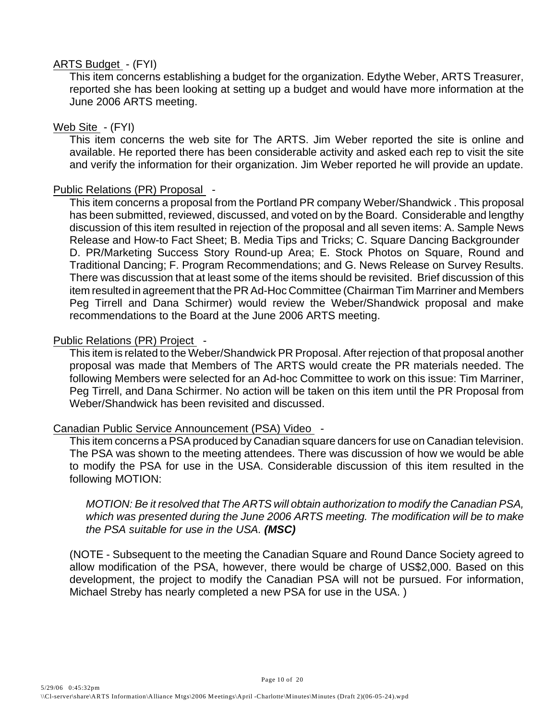## ARTS Budget - (FYI)

This item concerns establishing a budget for the organization. Edythe Weber, ARTS Treasurer, reported she has been looking at setting up a budget and would have more information at the June 2006 ARTS meeting.

## Web Site - (FYI)

This item concerns the web site for The ARTS. Jim Weber reported the site is online and available. He reported there has been considerable activity and asked each rep to visit the site and verify the information for their organization. Jim Weber reported he will provide an update.

## Public Relations (PR) Proposal -

This item concerns a proposal from the Portland PR company Weber/Shandwick . This proposal has been submitted, reviewed, discussed, and voted on by the Board. Considerable and lengthy discussion of this item resulted in rejection of the proposal and all seven items: A. Sample News Release and How-to Fact Sheet; B. Media Tips and Tricks; C. Square Dancing Backgrounder D. PR/Marketing Success Story Round-up Area; E. Stock Photos on Square, Round and Traditional Dancing; F. Program Recommendations; and G. News Release on Survey Results. There was discussion that at least some of the items should be revisited. Brief discussion of this item resulted in agreement that the PR Ad-Hoc Committee (Chairman Tim Marriner and Members Peg Tirrell and Dana Schirmer) would review the Weber/Shandwick proposal and make recommendations to the Board at the June 2006 ARTS meeting.

## Public Relations (PR) Project -

This item is related to the Weber/Shandwick PR Proposal. After rejection of that proposal another proposal was made that Members of The ARTS would create the PR materials needed. The following Members were selected for an Ad-hoc Committee to work on this issue: Tim Marriner, Peg Tirrell, and Dana Schirmer. No action will be taken on this item until the PR Proposal from Weber/Shandwick has been revisited and discussed.

## Canadian Public Service Announcement (PSA) Video -

This item concerns a PSA produced by Canadian square dancers for use on Canadian television. The PSA was shown to the meeting attendees. There was discussion of how we would be able to modify the PSA for use in the USA. Considerable discussion of this item resulted in the following MOTION:

*MOTION: Be it resolved that The ARTS will obtain authorization to modify the Canadian PSA, which was presented during the June 2006 ARTS meeting. The modification will be to make the PSA suitable for use in the USA. (MSC)*

(NOTE - Subsequent to the meeting the Canadian Square and Round Dance Society agreed to allow modification of the PSA, however, there would be charge of US\$2,000. Based on this development, the project to modify the Canadian PSA will not be pursued. For information, Michael Streby has nearly completed a new PSA for use in the USA. )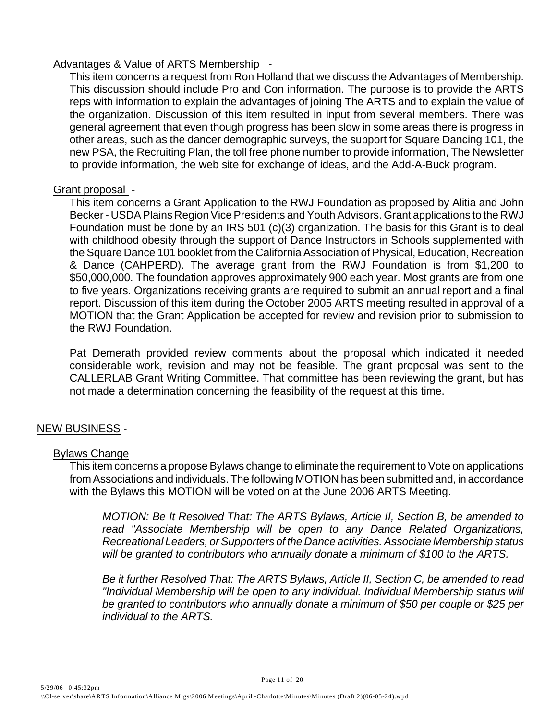## Advantages & Value of ARTS Membership -

This item concerns a request from Ron Holland that we discuss the Advantages of Membership. This discussion should include Pro and Con information. The purpose is to provide the ARTS reps with information to explain the advantages of joining The ARTS and to explain the value of the organization. Discussion of this item resulted in input from several members. There was general agreement that even though progress has been slow in some areas there is progress in other areas, such as the dancer demographic surveys, the support for Square Dancing 101, the new PSA, the Recruiting Plan, the toll free phone number to provide information, The Newsletter to provide information, the web site for exchange of ideas, and the Add-A-Buck program.

## Grant proposal -

This item concerns a Grant Application to the RWJ Foundation as proposed by Alitia and John Becker - USDA Plains Region Vice Presidents and Youth Advisors. Grant applications to the RWJ Foundation must be done by an IRS 501 (c)(3) organization. The basis for this Grant is to deal with childhood obesity through the support of Dance Instructors in Schools supplemented with the Square Dance 101 booklet from the California Association of Physical, Education, Recreation & Dance (CAHPERD). The average grant from the RWJ Foundation is from \$1,200 to \$50,000,000. The foundation approves approximately 900 each year. Most grants are from one to five years. Organizations receiving grants are required to submit an annual report and a final report. Discussion of this item during the October 2005 ARTS meeting resulted in approval of a MOTION that the Grant Application be accepted for review and revision prior to submission to the RWJ Foundation.

Pat Demerath provided review comments about the proposal which indicated it needed considerable work, revision and may not be feasible. The grant proposal was sent to the CALLERLAB Grant Writing Committee. That committee has been reviewing the grant, but has not made a determination concerning the feasibility of the request at this time.

## NEW BUSINESS -

## Bylaws Change

This item concerns a propose Bylaws change to eliminate the requirement to Vote on applications from Associations and individuals. The following MOTION has been submitted and, in accordance with the Bylaws this MOTION will be voted on at the June 2006 ARTS Meeting.

*MOTION: Be It Resolved That: The ARTS Bylaws, Article II, Section B, be amended to read "Associate Membership will be open to any Dance Related Organizations, Recreational Leaders, or Supporters of the Dance activities. Associate Membership status will be granted to contributors who annually donate a minimum of \$100 to the ARTS.*

*Be it further Resolved That: The ARTS Bylaws, Article II, Section C, be amended to read "Individual Membership will be open to any individual. Individual Membership status will be granted to contributors who annually donate a minimum of \$50 per couple or \$25 per individual to the ARTS.*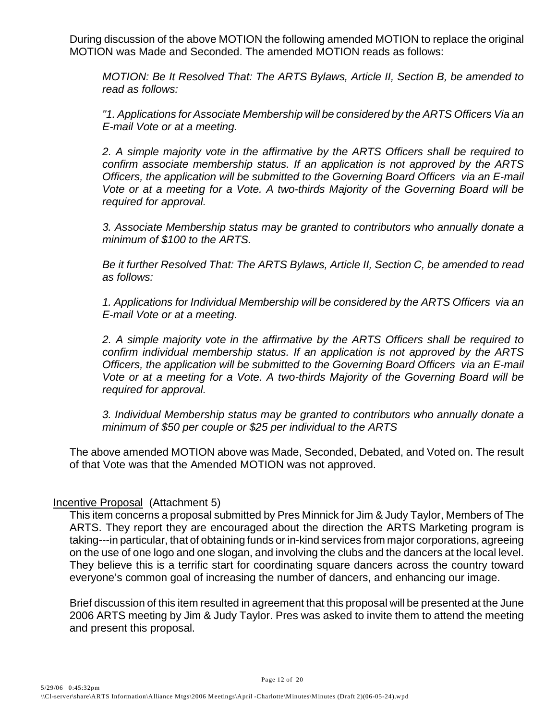During discussion of the above MOTION the following amended MOTION to replace the original MOTION was Made and Seconded. The amended MOTION reads as follows:

*MOTION: Be It Resolved That: The ARTS Bylaws, Article II, Section B, be amended to read as follows:*

*"1. Applications for Associate Membership will be considered by the ARTS Officers Via an E-mail Vote or at a meeting.* 

*2. A simple majority vote in the affirmative by the ARTS Officers shall be required to confirm associate membership status. If an application is not approved by the ARTS Officers, the application will be submitted to the Governing Board Officers via an E-mail Vote or at a meeting for a Vote. A two-thirds Majority of the Governing Board will be required for approval.* 

*3. Associate Membership status may be granted to contributors who annually donate a minimum of \$100 to the ARTS.*

*Be it further Resolved That: The ARTS Bylaws, Article II, Section C, be amended to read as follows:*

*1. Applications for Individual Membership will be considered by the ARTS Officers via an E-mail Vote or at a meeting.*

*2. A simple majority vote in the affirmative by the ARTS Officers shall be required to confirm individual membership status. If an application is not approved by the ARTS Officers, the application will be submitted to the Governing Board Officers via an E-mail Vote or at a meeting for a Vote. A two-thirds Majority of the Governing Board will be required for approval.*

*3. Individual Membership status may be granted to contributors who annually donate a minimum of \$50 per couple or \$25 per individual to the ARTS*

The above amended MOTION above was Made, Seconded, Debated, and Voted on. The result of that Vote was that the Amended MOTION was not approved.

## Incentive Proposal (Attachment 5)

This item concerns a proposal submitted by Pres Minnick for Jim & Judy Taylor, Members of The ARTS. They report they are encouraged about the direction the ARTS Marketing program is taking---in particular, that of obtaining funds or in-kind services from major corporations, agreeing on the use of one logo and one slogan, and involving the clubs and the dancers at the local level. They believe this is a terrific start for coordinating square dancers across the country toward everyone's common goal of increasing the number of dancers, and enhancing our image.

Brief discussion of this item resulted in agreement that this proposal will be presented at the June 2006 ARTS meeting by Jim & Judy Taylor. Pres was asked to invite them to attend the meeting and present this proposal.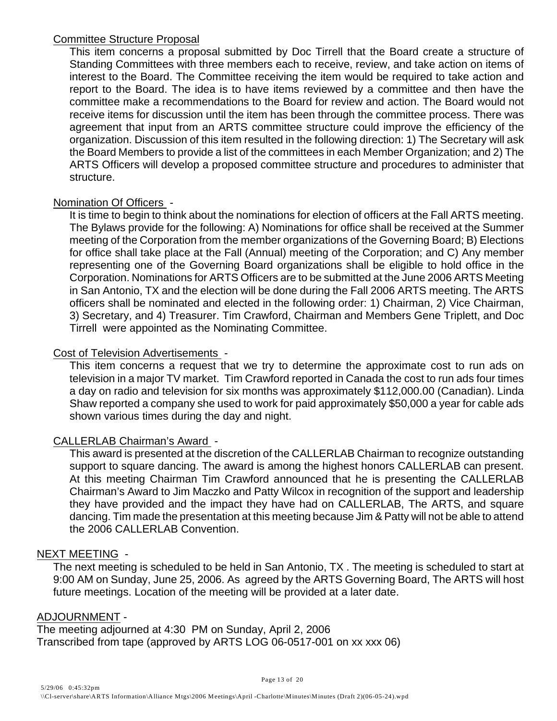## Committee Structure Proposal

This item concerns a proposal submitted by Doc Tirrell that the Board create a structure of Standing Committees with three members each to receive, review, and take action on items of interest to the Board. The Committee receiving the item would be required to take action and report to the Board. The idea is to have items reviewed by a committee and then have the committee make a recommendations to the Board for review and action. The Board would not receive items for discussion until the item has been through the committee process. There was agreement that input from an ARTS committee structure could improve the efficiency of the organization. Discussion of this item resulted in the following direction: 1) The Secretary will ask the Board Members to provide a list of the committees in each Member Organization; and 2) The ARTS Officers will develop a proposed committee structure and procedures to administer that structure.

## Nomination Of Officers -

It is time to begin to think about the nominations for election of officers at the Fall ARTS meeting. The Bylaws provide for the following: A) Nominations for office shall be received at the Summer meeting of the Corporation from the member organizations of the Governing Board; B) Elections for office shall take place at the Fall (Annual) meeting of the Corporation; and C) Any member representing one of the Governing Board organizations shall be eligible to hold office in the Corporation. Nominations for ARTS Officers are to be submitted at the June 2006 ARTS Meeting in San Antonio, TX and the election will be done during the Fall 2006 ARTS meeting. The ARTS officers shall be nominated and elected in the following order: 1) Chairman, 2) Vice Chairman, 3) Secretary, and 4) Treasurer. Tim Crawford, Chairman and Members Gene Triplett, and Doc Tirrell were appointed as the Nominating Committee.

## Cost of Television Advertisements -

This item concerns a request that we try to determine the approximate cost to run ads on television in a major TV market. Tim Crawford reported in Canada the cost to run ads four times a day on radio and television for six months was approximately \$112,000.00 (Canadian). Linda Shaw reported a company she used to work for paid approximately \$50,000 a year for cable ads shown various times during the day and night.

## CALLERLAB Chairman's Award -

This award is presented at the discretion of the CALLERLAB Chairman to recognize outstanding support to square dancing. The award is among the highest honors CALLERLAB can present. At this meeting Chairman Tim Crawford announced that he is presenting the CALLERLAB Chairman's Award to Jim Maczko and Patty Wilcox in recognition of the support and leadership they have provided and the impact they have had on CALLERLAB, The ARTS, and square dancing. Tim made the presentation at this meeting because Jim & Patty will not be able to attend the 2006 CALLERLAB Convention.

## NEXT MEETING -

The next meeting is scheduled to be held in San Antonio, TX . The meeting is scheduled to start at 9:00 AM on Sunday, June 25, 2006. As agreed by the ARTS Governing Board, The ARTS will host future meetings. Location of the meeting will be provided at a later date.

## ADJOURNMENT -

The meeting adjourned at 4:30 PM on Sunday, April 2, 2006 Transcribed from tape (approved by ARTS LOG 06-0517-001 on xx xxx 06)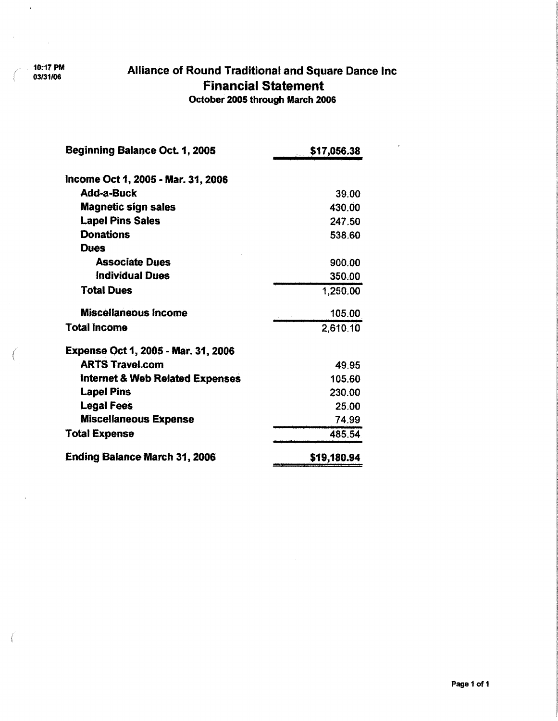10:17 PM 03/31/06

 $\mathcal{L}$ 

 $\hat{\epsilon}$ 

f

 $\left($ 

## Alliance of Round Traditional and Square Dance Inc **Financial Statement**

October 2005 through March 2006

 $\overline{\phantom{a}}$ 

| Beginning Balance Oct. 1, 2005             | \$17,056.38 |
|--------------------------------------------|-------------|
|                                            |             |
| Income Oct 1, 2005 - Mar. 31, 2006         |             |
| Add-a-Buck                                 | 39.00       |
| <b>Magnetic sign sales</b>                 | 430.00      |
| <b>Lapel Pins Sales</b>                    | 247.50      |
| <b>Donations</b>                           | 538.60      |
| Dues                                       |             |
| <b>Associate Dues</b>                      | 900.00      |
| <b>Individual Dues</b>                     | 350.00      |
| <b>Total Dues</b>                          | 1,250.00    |
| <b>Miscellaneous Income</b>                | 105.00      |
| <b>Total Income</b>                        | 2,610.10    |
| <b>Expense Oct 1, 2005 - Mar. 31, 2006</b> |             |
| <b>ARTS Travel.com</b>                     | 49.95       |
| <b>Internet &amp; Web Related Expenses</b> | 105.60      |
| <b>Lapel Pins</b>                          | 230.00      |
| <b>Legal Fees</b>                          | 25.00       |
| <b>Miscellaneous Expense</b>               | 74.99       |
| <b>Total Expense</b>                       | 485.54      |
| <b>Ending Balance March 31, 2006</b>       | \$19,180.94 |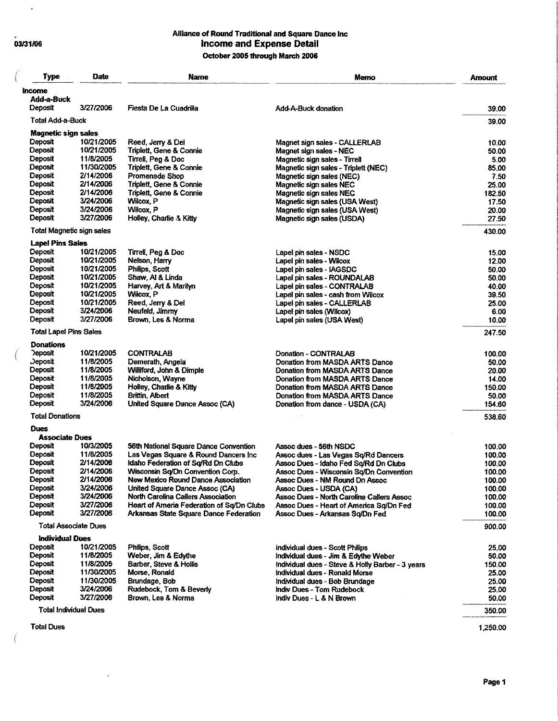## $03/31/06$

 $\overline{\mathcal{C}}$ 

**Albert** 

 $\left($ 

 $\overline{ }$ 

 $\ddot{\phantom{1}}$ 

## Alliance of Round Traditional and Square Dance Inc<br>Income and Expense Detail October 2005 through March 2006

| Type                            | Date                   | <b>Name</b>                                                          | Memo                                                                                        | <b>Amount</b>    |
|---------------------------------|------------------------|----------------------------------------------------------------------|---------------------------------------------------------------------------------------------|------------------|
| ncome                           |                        |                                                                      |                                                                                             |                  |
| Add-a-Buck                      |                        |                                                                      |                                                                                             |                  |
| Deposit                         | 3/27/2006              | Fiesta De La Cuadrilla                                               | Add-A-Buck donation                                                                         | 39.00            |
| Total Add-a-Buck                |                        |                                                                      |                                                                                             | 39.00            |
| <b>Magnetic sign sales</b>      |                        |                                                                      |                                                                                             |                  |
| Deposit                         | 10/21/2005             | Reed, Jerry & Del                                                    | Magnet sign sales - CALLERLAB                                                               | 10.00            |
| Deposit                         | 10/21/2005             | Triplett, Gene & Connie                                              | Magnet sign sales - NEC                                                                     | 50.00            |
| <b>Deposit</b>                  | 11/8/2005              | Tirrell, Peg & Doc                                                   | Magnetic sign sales - Tirrell                                                               | 5.00             |
| Deposit                         | 11/30/2005             | Triplett, Gene & Connie                                              | Magnetic sign sales - Triplett (NEC)                                                        | 85.00            |
| <b>Deposit</b><br>Deposit       | 2/14/2006<br>2/14/2006 | Promenade Shop<br>Triplett, Gene & Connie                            | Magnetic sign sales (NEC)                                                                   | 7.50             |
| Deposit                         | 2/14/2006              | Triplett, Gene & Connie                                              | Magnetic sign sales NEC<br>Magnetic sign sales NEC                                          | 25.00<br>182.50  |
| Deposit                         | 3/24/2006              | Wilcox, P                                                            | Magnetic sign sales (USA West)                                                              | 17.50            |
| <b>Deposit</b>                  | 3/24/2006              | Wilcox, P                                                            | Magnetic sign sales (USA West)                                                              | 20.00            |
| Deposit                         | 3/27/2006              | Holley, Charlie & Kitty                                              | Magnetic sign sales (USDA)                                                                  | 27.50            |
| Total Magnetic sign sales       |                        |                                                                      |                                                                                             | 430.00           |
| <b>Lapel Pins Sales</b>         |                        |                                                                      |                                                                                             |                  |
| Deposit                         | 10/21/2005             | Tirrell, Peg & Doc                                                   | Lapel pin sales - NSDC                                                                      | 15.00            |
| Deposit                         | 10/21/2005             | Neison, Harry                                                        | Lapel pin sales - Wilcox                                                                    | 12.00            |
| <b>Deposit</b>                  | 10/21/2005             | Philips, Scott                                                       | Lapel pin sales - IAGSDC                                                                    | 50.00            |
| Deposit                         | 10/21/2005             | Shaw, Al & Linda                                                     | Lapel pin sales - ROUNDALAB                                                                 | 50.00            |
| Deposit                         | 10/21/2005             | Harvey, Art & Marilyn                                                | Lapel pin sales - CONTRALAB                                                                 | 40.00            |
| Deposit                         | 10/21/2005             | Wilcox, P                                                            | Lapel pin sales - cash from Wilcox                                                          | 39.50            |
| Deposit                         | 10/21/2005             | Reed, Jerry & Del                                                    | Lapel pin sales - CALLERLAB                                                                 | 25.00            |
| Deposit                         | 3/24/2006              | Neufeld, Jimmy                                                       | Lapel pin sales (Wilcox)                                                                    | 6.00             |
| Deposit                         | 3/27/2006              | Brown, Les & Norma                                                   | Lapel pin sales (USA West)                                                                  | 10.00            |
| <b>Total Lapel Pins Sales</b>   |                        |                                                                      |                                                                                             | 247.50           |
| <b>Donations</b>                | 10/21/2005             |                                                                      |                                                                                             |                  |
| <b>Deposit</b><br>$\rho$ eposit | 11/8/2005              | <b>CONTRALAB</b>                                                     | Donation - CONTRALAB                                                                        | 100.00           |
| Deposit                         | 11/8/2005              | Demerath, Angela<br>Williford, John & Dimple                         | Donation from MASDA ARTS Dance<br>Donation from MASDA ARTS Dance                            | 50.00<br>20.00   |
| Deposit                         | 11/8/2005              | Nicholson, Wayne                                                     | Donation from MASDA ARTS Dance                                                              | 14.00            |
| Deposit                         | 11/8/2005              | Holley, Charlie & Kitty                                              | Donation from MASDA ARTS Dance                                                              | 150.00           |
| Deposit                         | 11/8/2005              | Brittin, Albert                                                      | Donation from MASDA ARTS Dance                                                              | 50.00            |
| Deposit                         | 3/24/2006              | United Square Dance Assoc (CA)                                       | Donation from dance - USDA (CA)                                                             | 154.60           |
| <b>Total Donations</b>          |                        |                                                                      |                                                                                             | 538.60           |
| <b>Dues</b>                     |                        |                                                                      |                                                                                             |                  |
| <b>Associate Dues</b>           |                        |                                                                      |                                                                                             |                  |
| Deposit                         | 10/3/2005              | 56th National Square Dance Convention                                | Assoc dues - 56th NSDC                                                                      | 100.00           |
| Deposit                         | 11/8/2005              | Las Vegas Square & Round Dancers Inc                                 | Assoc dues - Las Vegas Sq/Rd Dancers                                                        | 100.00           |
| Deposit                         | 2/14/2006              | Idaho Federation of Sq/Rd Dn Clubs                                   | Assoc Dues - Idaho Fed So/Rd Dn Clubs                                                       | 100.00           |
| Deposit                         | 2/14/2006              | Wisconsin Sq/Dn Convention Corp.                                     | Assoc Dues - Wisconsin Sq/Dn Convention                                                     | 100.00           |
| <b>L</b> eposit                 | 2/14/2006              | New Mexico Round Dance Association                                   | Assoc Dues - NM Round Dn Assoc                                                              | 100.00           |
| Deposit<br>Deposit              | 3/24/2006<br>3/24/2006 | United Square Dance Assoc (CA)<br>North Carolina Callers Association | Assoc Dues - USDA (CA)                                                                      | 100.00           |
| Deposit                         | 3/27/2006              | Heart of Ameria Federation of Sq/Dn Clubs                            | <b>Assoc Dues - North Caroline Callers Assoc</b><br>Assoc Dues - Heart of America Sq/Dn Fed | 100.00<br>100.00 |
| <b>Deposit</b>                  | 3/27/2006              | Arkansas State Square Dance Federation                               | Assoc Dues - Arkansas Sq/Dn Fed                                                             | 100.00           |
| <b>Total Associate Dues</b>     |                        |                                                                      |                                                                                             | 900.00           |
| <b>Individual Dues</b>          |                        |                                                                      |                                                                                             |                  |
| Deposit                         | 10/21/2005             | Philips, Scott                                                       | Individual dues - Scott Philips                                                             | 25,00            |
| Deposit                         | 11/8/2005              | Weber, Jim & Edythe                                                  | Individual dues - Jim & Edythe Weber                                                        | 50.00            |
| Deposit                         | 11/8/2005              | Barber, Steve & Hollis                                               | Individual dues - Steve & Holly Barber - 3 years                                            | 150.00           |
| Deposit                         | 11/30/2005             | Morse, Ronald                                                        | Individual dues - Ronald Morse                                                              | 25.00            |
| Deposit                         | 11/30/2005             | Brundage, Bob                                                        | Individual dues - Bob Brundage                                                              | 25.00            |
| Deposit                         | 3/24/2006              | Rudebock, Tom & Beverly                                              | Indiv Dues - Tom Rudebock                                                                   | 25.00            |
| Deposit                         | 3/27/2006              | Brown, Les & Norma                                                   | Indiv Dues - L & N Brown                                                                    | 50.00            |
| <b>Total Individual Dues</b>    |                        |                                                                      |                                                                                             | 350.00           |
| <b>Total Dues</b>               |                        |                                                                      |                                                                                             | 1,250.00         |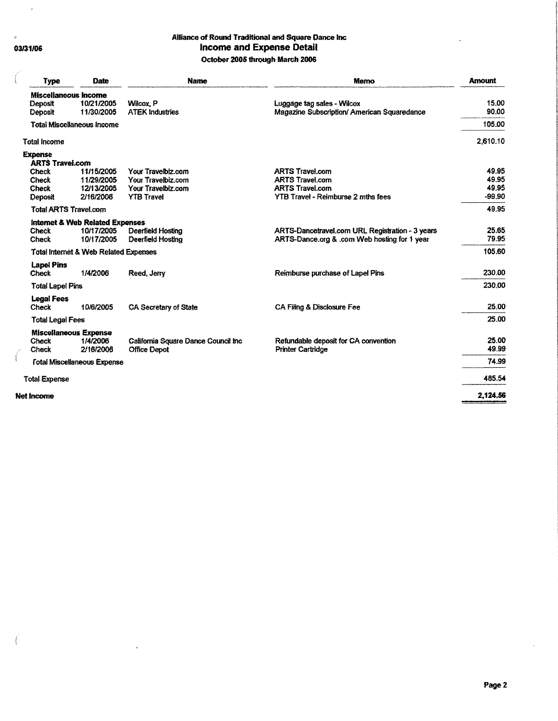03/31/06

 $\boldsymbol{\varepsilon}$ 

 $\left($ 

 $\epsilon$ 

 $\ddot{\phantom{a}}$ 

#### Alliance of Round Traditional and Square Dance Inc **Income and Expense Detail** October 2005 through March 2006

| <b>Type</b>                                              | Date                                                        | <b>Name</b>                                                                         | Memo                                                                                                                    | <b>Amount</b>                       |
|----------------------------------------------------------|-------------------------------------------------------------|-------------------------------------------------------------------------------------|-------------------------------------------------------------------------------------------------------------------------|-------------------------------------|
| <b>Miscellaneous Income</b><br><b>Deposit</b><br>Deposit | 10/21/2005<br>11/30/2005                                    | Wilcox, P<br><b>ATEK Industries</b>                                                 | Luggage tag sales - Wilcox<br>Magazine Subscription/ American Squaredance                                               | 15.00<br>90.00                      |
|                                                          | <b>Total Miscellaneous Income</b>                           |                                                                                     |                                                                                                                         | 105.00                              |
| <b>Total Income</b>                                      |                                                             |                                                                                     |                                                                                                                         | 2.610.10                            |
| <b>Expense</b><br><b>ARTS Travel.com</b>                 |                                                             |                                                                                     |                                                                                                                         |                                     |
| <b>Check</b><br>Check<br><b>Check</b><br>Deposit         | 11/15/2005<br>11/29/2005<br>12/13/2005<br>2/16/2006         | Your Travelbiz.com<br>Your Travelbiz.com<br>Your Travelbiz.com<br><b>YTB Travel</b> | <b>ARTS Travel.com</b><br><b>ARTS Travel.com</b><br><b>ARTS Travel.com</b><br><b>YTB Travel - Reimburse 2 mths fees</b> | 49.95<br>49.95<br>49.95<br>$-99.90$ |
| <b>Total ARTS Travel.com</b>                             |                                                             |                                                                                     |                                                                                                                         | 49.95                               |
| <b>Check</b><br>Check                                    | Internet & Web Related Expenses<br>10/17/2005<br>10/17/2005 | Deerfield Hosting<br>Deerfield Hosting                                              | ARTS-Dancetravel.com URL Registration - 3 years<br>ARTS-Dance.org & .com Web hosting for 1 year                         | 25.65<br>79.95                      |
|                                                          | <b>Total Internet &amp; Web Related Expenses</b>            |                                                                                     |                                                                                                                         | 105.60                              |
| <b>Lapel Pins</b><br><b>Check</b>                        | 1/4/2006                                                    | Reed, Jerry                                                                         | Reimburse purchase of Lapel Pins                                                                                        | 230.00                              |
| <b>Total Lapel Pins</b>                                  |                                                             |                                                                                     |                                                                                                                         | 230.00                              |
| <b>Legal Fees</b><br>Check                               | 10/6/2005                                                   | CA Secretary of State                                                               | CA Filing & Disclosure Fee                                                                                              | 25.00                               |
| <b>Total Legal Fees</b>                                  |                                                             |                                                                                     |                                                                                                                         | 25.00                               |
| <b>Check</b><br><b>Check</b>                             | <b>Miscellaneous Expense</b><br>1/4/2006<br>2/16/2006       | California Square Dance Council Inc.<br><b>Office Depot</b>                         | Refundable deposit for CA convention<br><b>Printer Cartridge</b>                                                        | 25.00<br>49.99                      |
|                                                          | <b>Fotal Miscellaneous Expense</b>                          |                                                                                     |                                                                                                                         | 74.99                               |
| <b>Total Expense</b>                                     |                                                             |                                                                                     |                                                                                                                         | 485.54                              |
| <b>Net Income</b>                                        |                                                             |                                                                                     |                                                                                                                         | 2.124.56                            |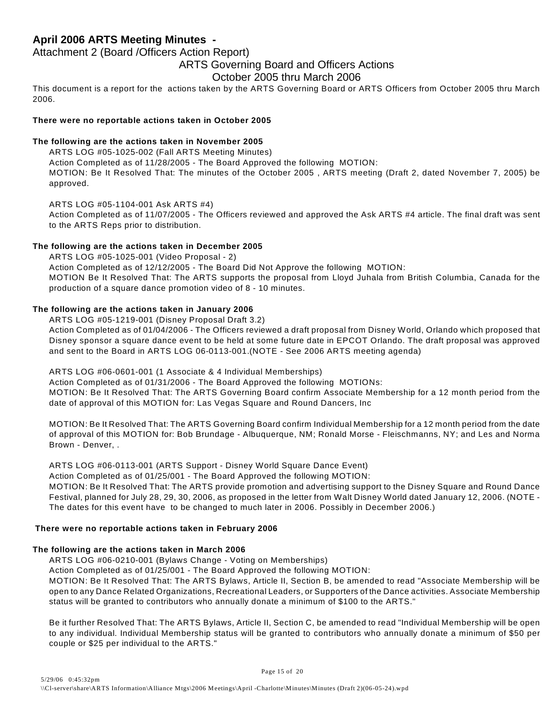Attachment 2 (Board /Officers Action Report)

#### ARTS Governing Board and Officers Actions

#### October 2005 thru March 2006

This document is a report for the actions taken by the ARTS Governing Board or ARTS Officers from October 2005 thru March 2006.

#### **There were no reportable actions taken in October 2005**

#### **The following are the actions taken in November 2005**

ARTS LOG #05-1025-002 (Fall ARTS Meeting Minutes) Action Completed as of 11/28/2005 - The Board Approved the following MOTION: MOTION: Be It Resolved That: The minutes of the October 2005 , ARTS meeting (Draft 2, dated November 7, 2005) be approved.

ARTS LOG #05-1104-001 Ask ARTS #4)

Action Completed as of 11/07/2005 - The Officers reviewed and approved the Ask ARTS #4 article. The final draft was sent to the ARTS Reps prior to distribution.

#### **The following are the actions taken in December 2005**

ARTS LOG #05-1025-001 (Video Proposal - 2)

Action Completed as of 12/12/2005 - The Board Did Not Approve the following MOTION:

MOTION Be It Resolved That: The ARTS supports the proposal from Lloyd Juhala from British Columbia, Canada for the production of a square dance promotion video of 8 - 10 minutes.

#### **The following are the actions taken in January 2006**

ARTS LOG #05-1219-001 (Disney Proposal Draft 3.2)

Action Completed as of 01/04/2006 - The Officers reviewed a draft proposal from Disney World, Orlando which proposed that Disney sponsor a square dance event to be held at some future date in EPCOT Orlando. The draft proposal was approved and sent to the Board in ARTS LOG 06-0113-001.(NOTE - See 2006 ARTS meeting agenda)

#### ARTS LOG #06-0601-001 (1 Associate & 4 Individual Memberships)

Action Completed as of 01/31/2006 - The Board Approved the following MOTIONs:

MOTION: Be It Resolved That: The ARTS Governing Board confirm Associate Membership for a 12 month period from the date of approval of this MOTION for: Las Vegas Square and Round Dancers, Inc

MOTION: Be It Resolved That: The ARTS Governing Board confirm Individual Membership for a 12 month period from the date of approval of this MOTION for: Bob Brundage - Albuquerque, NM; Ronald Morse - Fleischmanns, NY; and Les and Norma Brown - Denver, .

ARTS LOG #06-0113-001 (ARTS Support - Disney World Square Dance Event)

Action Completed as of 01/25/001 - The Board Approved the following MOTION:

MOTION: Be It Resolved That: The ARTS provide promotion and advertising support to the Disney Square and Round Dance Festival, planned for July 28, 29, 30, 2006, as proposed in the letter from Walt Disney World dated January 12, 2006. (NOTE - The dates for this event have to be changed to much later in 2006. Possibly in December 2006.)

#### **There were no reportable actions taken in February 2006**

#### **The following are the actions taken in March 2006**

ARTS LOG #06-0210-001 (Bylaws Change - Voting on Memberships)

Action Completed as of 01/25/001 - The Board Approved the following MOTION:

MOTION: Be It Resolved That: The ARTS Bylaws, Article II, Section B, be amended to read "Associate Membership will be open to any Dance Related Organizations, Recreational Leaders, or Supporters of the Dance activities. Associate Membership status will be granted to contributors who annually donate a minimum of \$100 to the ARTS."

Be it further Resolved That: The ARTS Bylaws, Article II, Section C, be amended to read "Individual Membership will be open to any individual. Individual Membership status will be granted to contributors who annually donate a minimum of \$50 per couple or \$25 per individual to the ARTS."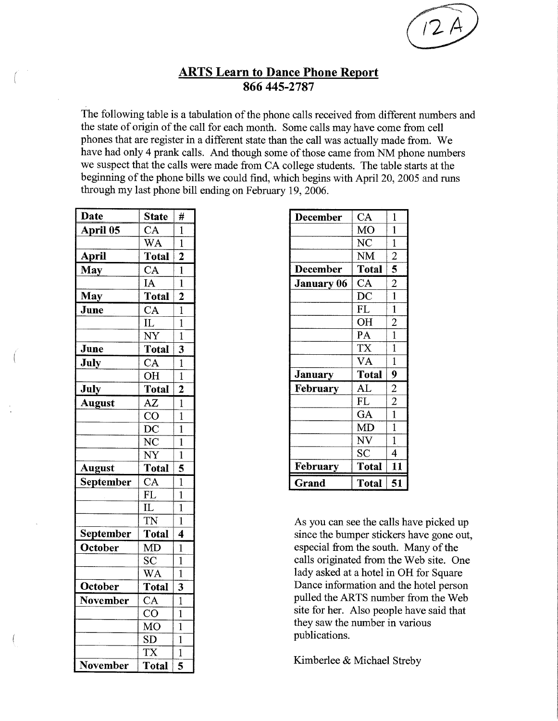

## **ARTS Learn to Dance Phone Report** 866 445-2787

The following table is a tabulation of the phone calls received from different numbers and the state of origin of the call for each month. Some calls may have come from cell phones that are register in a different state than the call was actually made from. We have had only 4 prank calls. And though some of those came from NM phone numbers we suspect that the calls were made from CA college students. The table starts at the beginning of the phone bills we could find, which begins with April 20, 2005 and runs through my last phone bill ending on February 19, 2006.

| <b>Date</b>     | <b>State</b>           | #                       |
|-----------------|------------------------|-------------------------|
| <b>April 05</b> | CA                     | 1                       |
|                 | WA                     | $\overline{1}$          |
| April           | <b>Total</b>           | $\overline{2}$          |
| <b>May</b>      | $\overline{\text{CA}}$ | $\mathbf{1}$            |
|                 | IA                     | $\overline{1}$          |
| May             | <b>Total</b>           | $\overline{2}$          |
| June            | $\overline{\text{CA}}$ | $\overline{1}$          |
|                 | $\overline{\text{IL}}$ | $\overline{1}$          |
|                 | $\overline{\text{NY}}$ | $\overline{1}$          |
| June            | <b>Total</b>           | 3                       |
| <b>July</b>     | $\overline{\text{CA}}$ | $\mathbf{1}$            |
|                 | $\overline{\text{OH}}$ | $\overline{1}$          |
| <b>July</b>     | Total                  | $\overline{2}$          |
| <b>August</b>   | AZ                     | $\overline{1}$          |
|                 | $\overline{\text{CO}}$ | $\overline{\mathbf{1}}$ |
|                 | $\overline{{\rm DC}}$  | $\mathbf{1}$            |
|                 | $\overline{\text{NC}}$ | $\overline{1}$          |
|                 | $\overline{\text{NY}}$ | $\mathbf{1}$            |
| <b>August</b>   | <b>Total</b>           | 5                       |
| September       | $\overline{\text{CA}}$ | $\overline{1}$          |
|                 | <b>FL</b>              | $\mathbf{1}$            |
|                 | IL                     | $\mathbf{1}$            |
|                 | $\overline{\text{TN}}$ | $\mathbf 1$             |
| September       | Total                  | 4                       |
| October         | MD                     | $\mathbf{1}$            |
|                 | SC                     | $\mathbf{1}$            |
|                 | <b>WA</b>              | $\mathbf 1$             |
| October         | <b>Total</b>           | $\overline{\mathbf{3}}$ |
| November        | $\overline{\text{CA}}$ | $\mathbf 1$             |
|                 | $\overline{\text{co}}$ | $\mathbf 1$             |
|                 | $\overline{\text{MO}}$ | $\overline{1}$          |
|                 | SD                     | $\mathbf{1}$            |
|                 | <b>TX</b>              | $\overline{1}$          |
| <b>November</b> | <b>Total</b>           | 5                       |

|                | <b>FL</b>           | $\mathbf{1}$   |
|----------------|---------------------|----------------|
|                | OH                  | $\overline{c}$ |
|                | PA                  | $\mathbf{1}$   |
|                | TX                  | 1              |
|                | VA                  | $\mathbf{1}$   |
| <b>January</b> | <b>Total</b>        | 9              |
|                |                     |                |
| February       | AL                  | $\overline{2}$ |
|                | <b>FL</b>           | $\overline{2}$ |
|                | GA                  | $\mathbf{1}$   |
|                | MD                  | 1              |
|                | NV                  | 1              |
|                | $\overline{\rm SC}$ | 4              |

As you can see the calls have picked up since the bumper stickers have gone out. especial from the south. Many of the calls originated from the Web site. One lady asked at a hotel in OH for Square Dance information and the hotel person pulled the ARTS number from the Web site for her. Also people have said that they saw the number in various publications.

Kimberlee & Michael Streby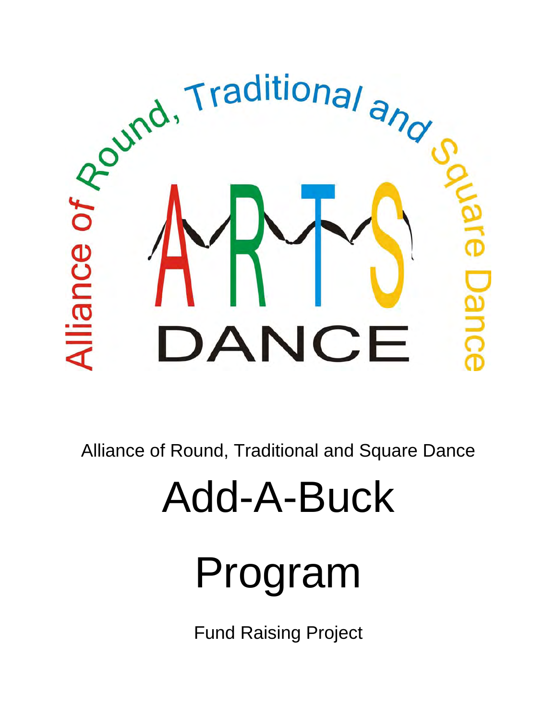

Alliance of Round, Traditional and Square Dance

# Add-A-Buck

# Program

Fund Raising Project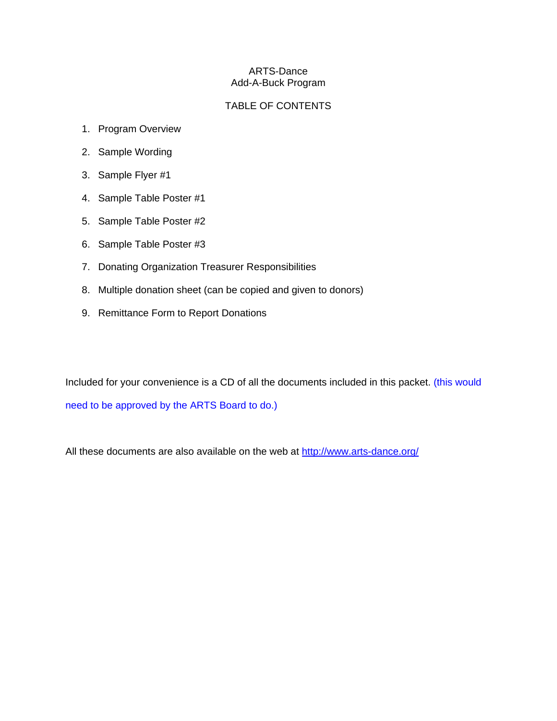#### ARTS-Dance Add-A-Buck Program

## TABLE OF CONTENTS

- 1. Program Overview
- 2. Sample Wording
- 3. Sample Flyer #1
- 4. Sample Table Poster #1
- 5. Sample Table Poster #2
- 6. Sample Table Poster #3
- 7. Donating Organization Treasurer Responsibilities
- 8. Multiple donation sheet (can be copied and given to donors)
- 9. Remittance Form to Report Donations

Included for your convenience is a CD of all the documents included in this packet. (this would need to be approved by the ARTS Board to do.)

All these documents are also available on the web at <http://www.arts-dance.org/>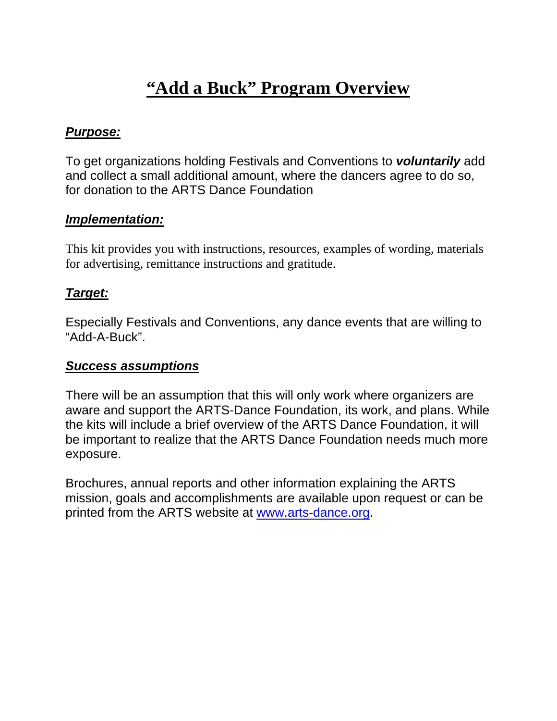## **"Add a Buck" Program Overview**

## *Purpose:*

To get organizations holding Festivals and Conventions to *voluntarily* add and collect a small additional amount, where the dancers agree to do so, for donation to the ARTS Dance Foundation

## *Implementation:*

This kit provides you with instructions, resources, examples of wording, materials for advertising, remittance instructions and gratitude.

## *Target:*

Especially Festivals and Conventions, any dance events that are willing to "Add-A-Buck".

## *Success assumptions*

There will be an assumption that this will only work where organizers are aware and support the ARTS-Dance Foundation, its work, and plans. While the kits will include a brief overview of the ARTS Dance Foundation, it will be important to realize that the ARTS Dance Foundation needs much more exposure.

Brochures, annual reports and other information explaining the ARTS mission, goals and accomplishments are available upon request or can be printed from the ARTS website at [www.arts-dance.org.](http://www.arts-dance.org/)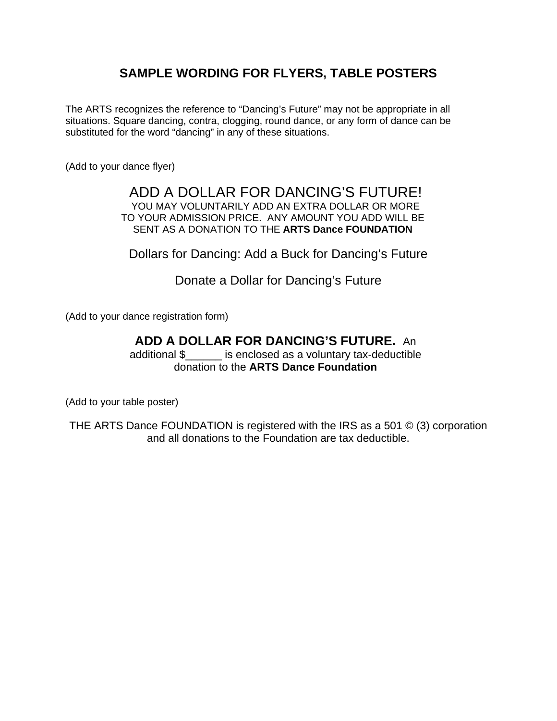## **SAMPLE WORDING FOR FLYERS, TABLE POSTERS**

The ARTS recognizes the reference to "Dancing's Future" may not be appropriate in all situations. Square dancing, contra, clogging, round dance, or any form of dance can be substituted for the word "dancing" in any of these situations.

(Add to your dance flyer)

## ADD A DOLLAR FOR DANCING'S FUTURE! YOU MAY VOLUNTARILY ADD AN EXTRA DOLLAR OR MORE TO YOUR ADMISSION PRICE. ANY AMOUNT YOU ADD WILL BE SENT AS A DONATION TO THE **ARTS Dance FOUNDATION**

Dollars for Dancing: Add a Buck for Dancing's Future

Donate a Dollar for Dancing's Future

(Add to your dance registration form)

## **ADD A DOLLAR FOR DANCING'S FUTURE.** An

additional \$\_\_\_\_\_\_ is enclosed as a voluntary tax-deductible donation to the **ARTS Dance Foundation**

(Add to your table poster)

THE ARTS Dance FOUNDATION is registered with the IRS as a 501 © (3) corporation and all donations to the Foundation are tax deductible.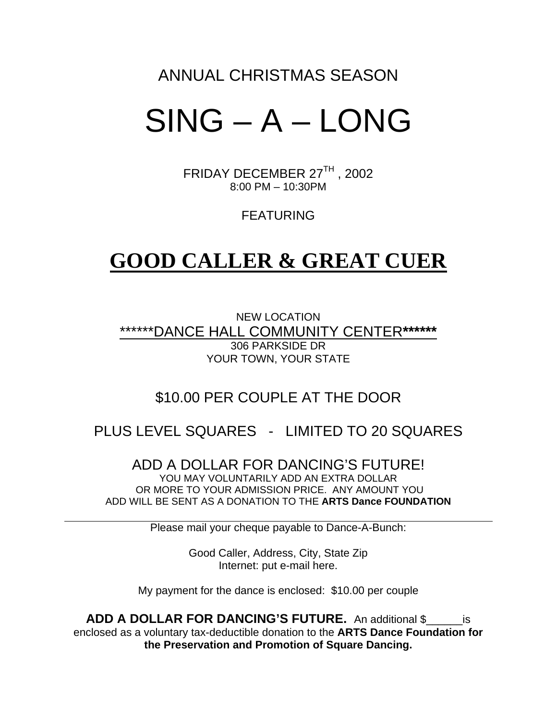## ANNUAL CHRISTMAS SEASON

## SING – A – LONG

FRIDAY DECEMBER 27TH , 2002 8:00 PM – 10:30PM

FEATURING

## **GOOD CALLER & GREAT CUER**

NEW LOCATION \*\*\*\*\*\*DANCE HALL COMMUNITY CENTER**\*\*\*\*\*\*** 306 PARKSIDE DR YOUR TOWN, YOUR STATE

## \$10.00 PER COUPLE AT THE DOOR

## PLUS LEVEL SQUARES - LIMITED TO 20 SQUARES

ADD A DOLLAR FOR DANCING'S FUTURE! YOU MAY VOLUNTARILY ADD AN EXTRA DOLLAR OR MORE TO YOUR ADMISSION PRICE. ANY AMOUNT YOU ADD WILL BE SENT AS A DONATION TO THE **ARTS Dance FOUNDATION** 

Please mail your cheque payable to Dance-A-Bunch:

Good Caller, Address, City, State Zip Internet: put e-mail here.

My payment for the dance is enclosed: \$10.00 per couple

**ADD A DOLLAR FOR DANCING'S FUTURE.** An additional \$\_\_\_\_\_\_is enclosed as a voluntary tax-deductible donation to the **ARTS Dance Foundation for the Preservation and Promotion of Square Dancing.**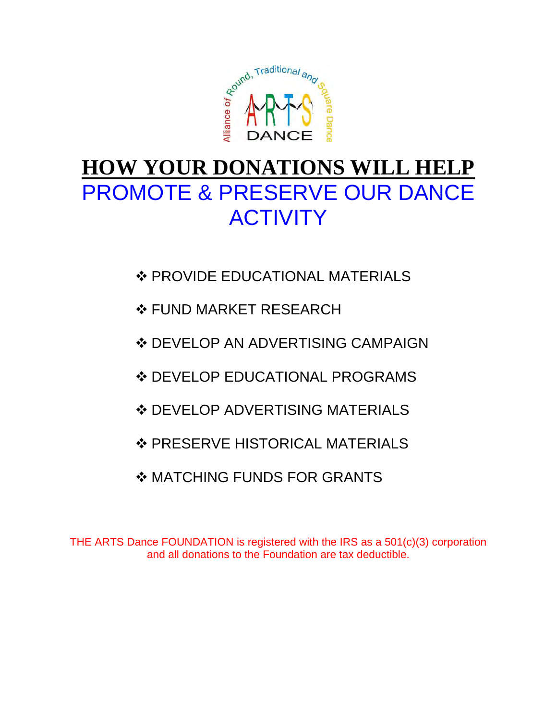

## **HOW YOUR DONATIONS WILL HELP** PROMOTE & PRESERVE OUR DANCE **ACTIVITY**

- ❖ PROVIDE EDUCATIONAL MATERIALS
- **❖ FUND MARKET RESEARCH**
- ❖ DEVELOP AN ADVERTISING CAMPAIGN
- ❖ DEVELOP EDUCATIONAL PROGRAMS
- **❖ DEVELOP ADVERTISING MATERIALS**
- ❖ PRESERVE HISTORICAL MATERIALS
- **MATCHING FUNDS FOR GRANTS**

THE ARTS Dance FOUNDATION is registered with the IRS as a 501(c)(3) corporation and all donations to the Foundation are tax deductible.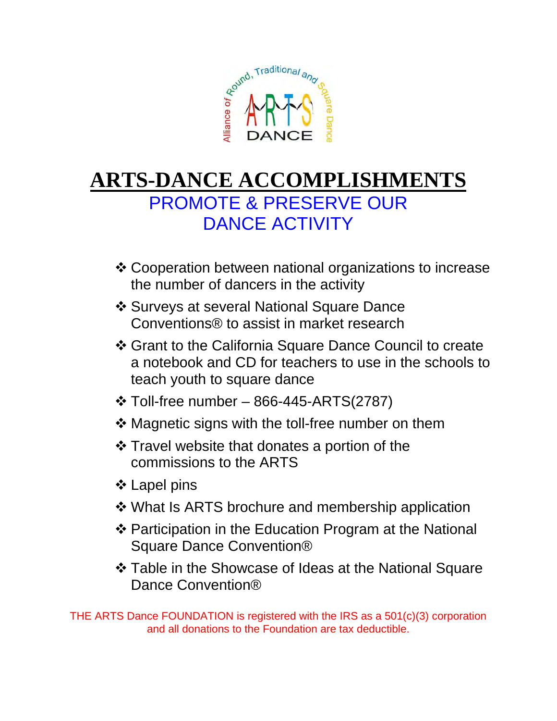

## **ARTS-DANCE ACCOMPLISHMENTS** PROMOTE & PRESERVE OUR DANCE ACTIVITY

- Cooperation between national organizations to increase the number of dancers in the activity
- Surveys at several National Square Dance Conventions® to assist in market research
- Grant to the California Square Dance Council to create a notebook and CD for teachers to use in the schools to teach youth to square dance
- $\div$  Toll-free number 866-445-ARTS(2787)
- **❖ Magnetic signs with the toll-free number on them**
- Travel website that donates a portion of the commissions to the ARTS
- ❖ Lapel pins
- What Is ARTS brochure and membership application
- ❖ Participation in the Education Program at the National Square Dance Convention®
- Table in the Showcase of Ideas at the National Square Dance Convention®

THE ARTS Dance FOUNDATION is registered with the IRS as a 501(c)(3) corporation and all donations to the Foundation are tax deductible.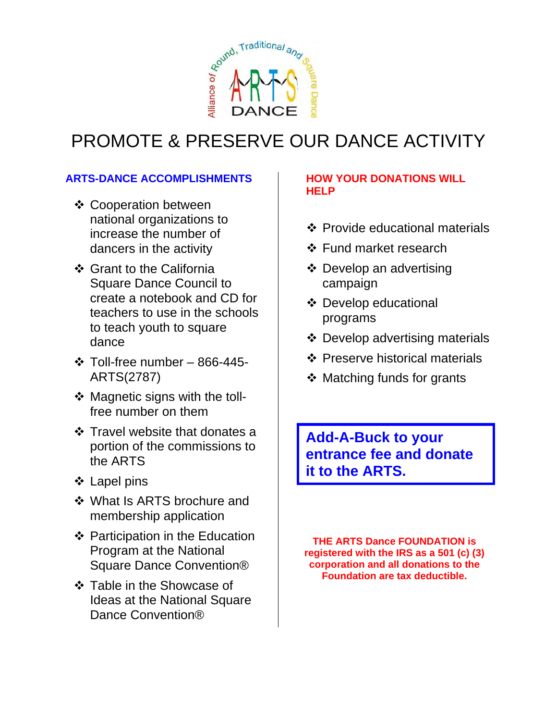

## PROMOTE & PRESERVE OUR DANCE ACTIVITY

## **ARTS-DANCE ACCOMPLISHMENTS**

- **❖ Cooperation between** national organizations to increase the number of dancers in the activity
- ❖ Grant to the California Square Dance Council to create a notebook and CD for teachers to use in the schools to teach youth to square dance
- $\div$  Toll-free number 866-445-ARTS(2787)
- ❖ Magnetic signs with the tollfree number on them
- ❖ Travel website that donates a portion of the commissions to the ARTS
- **❖ Lapel pins**
- What Is ARTS brochure and membership application
- ❖ Participation in the Education Program at the National Square Dance Convention®
- Table in the Showcase of Ideas at the National Square Dance Convention®

## **HOW YOUR DONATIONS WILL HELP**

- Provide educational materials
- ❖ Fund market research
- **❖** Develop an advertising campaign
- Develop educational programs
- Develop advertising materials
- Preserve historical materials
- $\triangleleft$  Matching funds for grants

**Add-A-Buck to your entrance fee and donate it to the ARTS.** 

**THE ARTS Dance FOUNDATION is registered with the IRS as a 501 (c) (3) corporation and all donations to the Foundation are tax deductible.**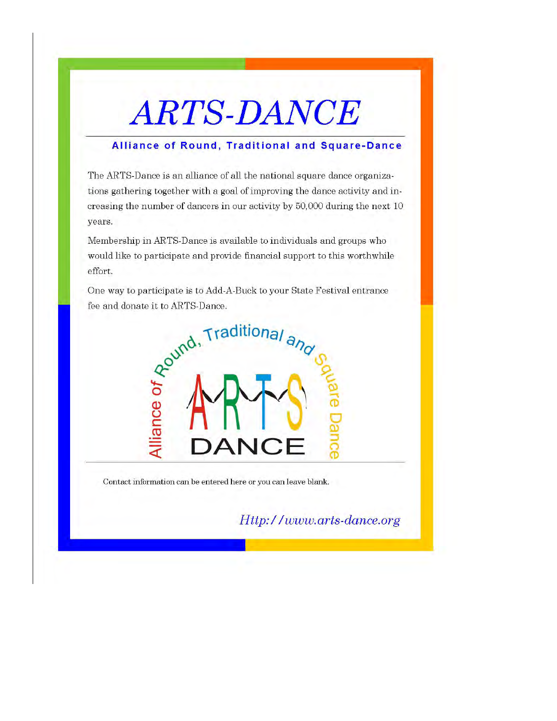## **ARTS-DANCE**

## Alliance of Round, Traditional and Square-Dance

The ARTS-Dance is an alliance of all the national square dance organizations gathering together with a goal of improving the dance activity and increasing the number of dancers in our activity by 50,000 during the next 10 years.

Membership in ARTS-Dance is available to individuals and groups who would like to participate and provide financial support to this worthwhile effort.

One way to participate is to Add-A-Buck to your State Festival entrance fee and donate it to ARTS-Dance.



Contact information can be entered here or you can leave blank.

Http://www.arts-dance.org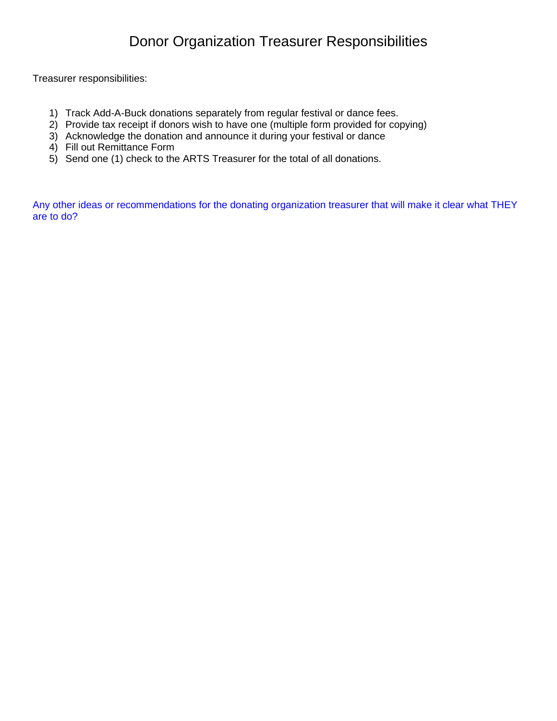Treasurer responsibilities:

- 1) Track Add-A-Buck donations separately from regular festival or dance fees.
- 2) Provide tax receipt if donors wish to have one (multiple form provided for copying)
- 3) Acknowledge the donation and announce it during your festival or dance
- 4) Fill out Remittance Form
- 5) Send one (1) check to the ARTS Treasurer for the total of all donations.

Any other ideas or recommendations for the donating organization treasurer that will make it clear what THEY are to do?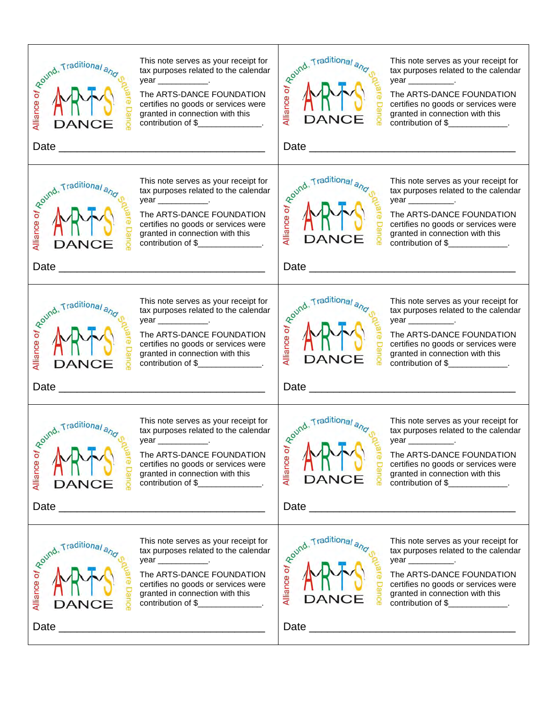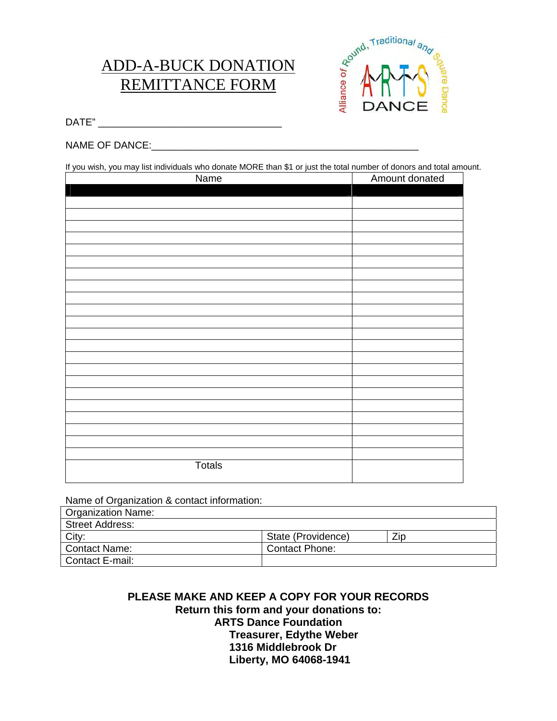## ADD-A-BUCK DONATION REMITTANCE FORM



DATE" \_\_\_\_\_\_\_\_\_\_\_\_\_\_\_\_\_\_\_\_\_\_\_\_\_\_\_\_\_\_\_\_\_

## NAME OF DANCE:\_\_\_\_\_\_\_\_\_\_\_\_\_\_\_\_\_\_\_\_\_\_\_\_\_\_\_\_\_\_\_\_\_\_\_\_\_\_\_\_\_\_\_\_\_\_\_\_

If you wish, you may list individuals who donate MORE than \$1 or just the total number of donors and total amount.

| Name          | Amount donated |
|---------------|----------------|
|               |                |
|               |                |
|               |                |
|               |                |
|               |                |
|               |                |
|               |                |
|               |                |
|               |                |
|               |                |
|               |                |
|               |                |
|               |                |
|               |                |
|               |                |
|               |                |
|               |                |
|               |                |
|               |                |
|               |                |
|               |                |
|               |                |
|               |                |
|               |                |
| <b>Totals</b> |                |
|               |                |
|               |                |

Name of Organization & contact information:

| Organization Name:     |                    |      |  |
|------------------------|--------------------|------|--|
| <b>Street Address:</b> |                    |      |  |
| City:                  | State (Providence) | Zip. |  |
| <b>Contact Name:</b>   | Contact Phone:     |      |  |
| Contact E-mail:        |                    |      |  |

## **PLEASE MAKE AND KEEP A COPY FOR YOUR RECORDS Return this form and your donations to: ARTS Dance Foundation Treasurer, Edythe Weber 1316 Middlebrook Dr Liberty, MO 64068-1941**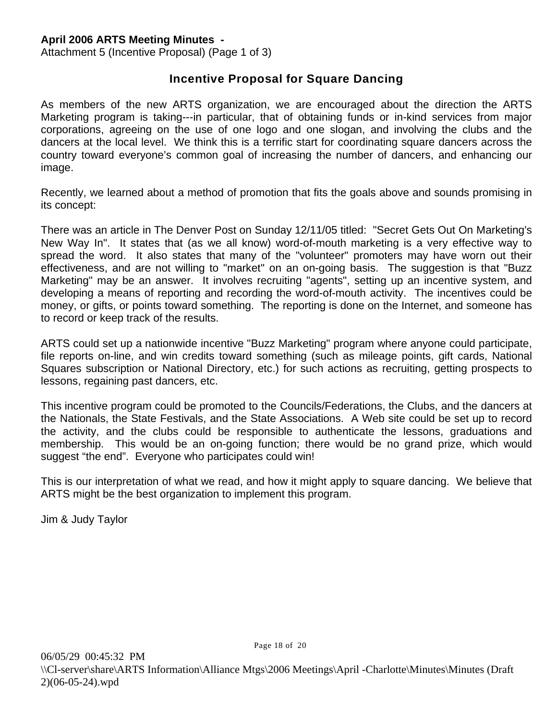Attachment 5 (Incentive Proposal) (Page 1 of 3)

## **Incentive Proposal for Square Dancing**

As members of the new ARTS organization, we are encouraged about the direction the ARTS Marketing program is taking---in particular, that of obtaining funds or in-kind services from major corporations, agreeing on the use of one logo and one slogan, and involving the clubs and the dancers at the local level. We think this is a terrific start for coordinating square dancers across the country toward everyone's common goal of increasing the number of dancers, and enhancing our image.

Recently, we learned about a method of promotion that fits the goals above and sounds promising in its concept:

There was an article in The Denver Post on Sunday 12/11/05 titled: "Secret Gets Out On Marketing's New Way In". It states that (as we all know) word-of-mouth marketing is a very effective way to spread the word. It also states that many of the "volunteer" promoters may have worn out their effectiveness, and are not willing to "market" on an on-going basis. The suggestion is that "Buzz Marketing" may be an answer. It involves recruiting "agents", setting up an incentive system, and developing a means of reporting and recording the word-of-mouth activity. The incentives could be money, or gifts, or points toward something. The reporting is done on the Internet, and someone has to record or keep track of the results.

ARTS could set up a nationwide incentive "Buzz Marketing" program where anyone could participate, file reports on-line, and win credits toward something (such as mileage points, gift cards, National Squares subscription or National Directory, etc.) for such actions as recruiting, getting prospects to lessons, regaining past dancers, etc.

This incentive program could be promoted to the Councils/Federations, the Clubs, and the dancers at the Nationals, the State Festivals, and the State Associations. A Web site could be set up to record the activity, and the clubs could be responsible to authenticate the lessons, graduations and membership. This would be an on-going function; there would be no grand prize, which would suggest "the end". Everyone who participates could win!

This is our interpretation of what we read, and how it might apply to square dancing. We believe that ARTS might be the best organization to implement this program.

Jim & Judy Taylor

Page 18 of 20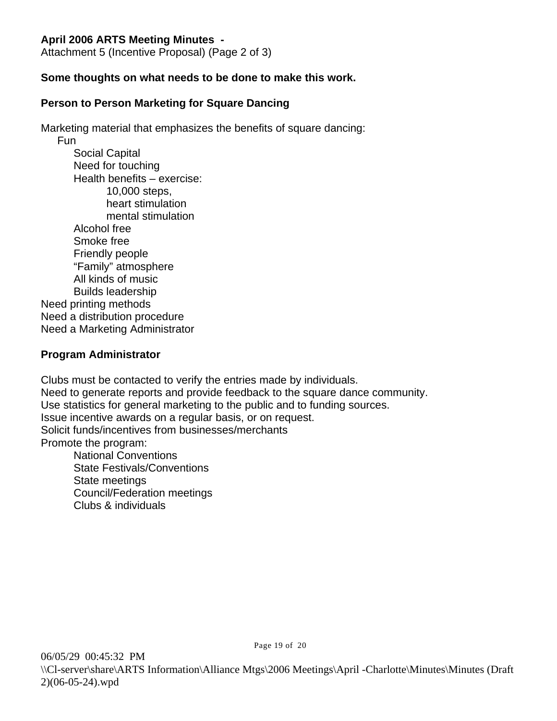Attachment 5 (Incentive Proposal) (Page 2 of 3)

## **Some thoughts on what needs to be done to make this work.**

## **Person to Person Marketing for Square Dancing**

Marketing material that emphasizes the benefits of square dancing:

Fun Social Capital Need for touching Health benefits – exercise: 10,000 steps, heart stimulation mental stimulation Alcohol free Smoke free Friendly people "Family" atmosphere All kinds of music Builds leadership Need printing methods Need a distribution procedure Need a Marketing Administrator

## **Program Administrator**

Clubs must be contacted to verify the entries made by individuals. Need to generate reports and provide feedback to the square dance community. Use statistics for general marketing to the public and to funding sources. Issue incentive awards on a regular basis, or on request. Solicit funds/incentives from businesses/merchants Promote the program: National Conventions State Festivals/Conventions State meetings Council/Federation meetings

Clubs & individuals